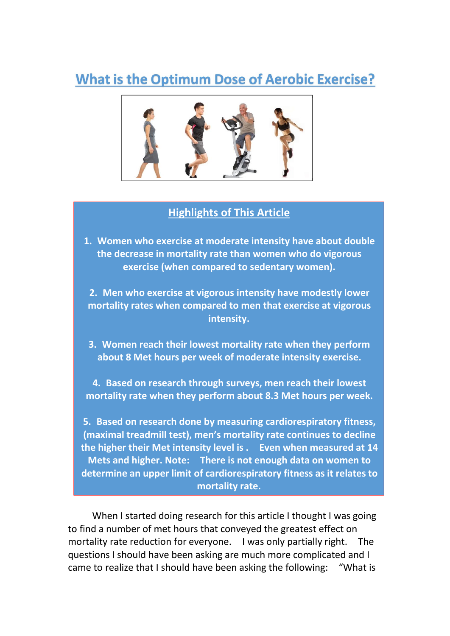# **What is the Optimum Dose of Aerobic Exercise?**



### **Highlights of This Article**

**1. Women who exercise at moderate intensity have about double the decrease in mortality rate than women who do vigorous exercise (when compared to sedentary women).2. Men who exercise at vigorous intensity have modestly lower**

**mortality rates when compared to men that exercise at vigorous intensity.**

**3. Women reach their lowest mortality rate when they perform** about 8 Met hours per week of moderate intensity exercise.<br>4. Based on research through surveys, men reach their lowest

**mortality rate when they perform about 8.3 Met hours per week.**

**5. Based on research done by measuring cardiorespiratory fitness, (maximal treadmill test), men's mortality rate continues to decline the higher their Met intensity level is . Even when measured at 14 Mets and higher. Note: There is not enough data on women to determine an upper limit of cardiorespiratory fitness as it relates to mortality rate.**

When I started doing research for this article I thought I was going to find a number of met hours that conveyed the greatest effect on mortality rate reduction for everyone. I was only partially right. The questions I should have been asking are much more complicated and I came to realize that Ishould have been asking the following: "What is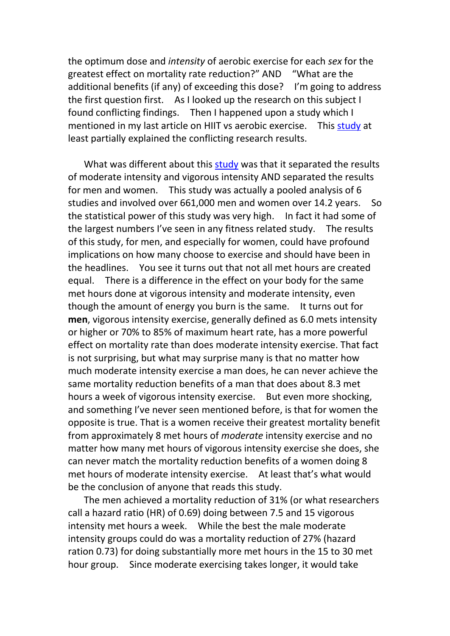the optimum dose and *intensity* of aerobic exercise for each *sex* for the greatest effect on mortality rate reduction?" AND "What are the additional benefits (if any) of exceeding this dose? I'm going to address the first question first. As I looked up the research on this subject I found conflicting findings. Then I happened upon a study which I mentioned in my last article on HIIT vs aerobic exercise. This [study](https://pdfs.semanticscholar.org/5bac/d7076426f40c3fccefd67db795558308e949.pdf) at least partially explained the conflicting research results.

What was different about this [study](https://pdfs.semanticscholar.org/5bac/d7076426f40c3fccefd67db795558308e949.pdf) was that it separated the results of moderate intensity and vigorous intensity AND separated the results for men and women. This study was actually a pooled analysis of 6 studies and involved over 661,000 men and women over 14.2 years. So the statistical power of this study was very high. In fact it had some of the largest numbers I've seen in any fitness related study. The results of this study, for men, and especially for women, could have profound implications on how many choose to exercise and should have been in the headlines. You see it turns out that not all met hours are created equal. There is a difference in the effect on your body for the same met hours done at vigorous intensity and moderate intensity, even though the amount of energy you burn is the same. It turns out for **men**, vigorous intensity exercise, generally defined as 6.0 mets intensity or higher or 70% to 85% of maximum heart rate, has a more powerful effect on mortality rate than does moderate intensity exercise.That fact is not surprising, but what may surprise many is that no matter how much moderate intensity exercise a man does, he can never achieve the same mortality reduction benefits of a man that does about 8.3 met hours a week of vigorous intensity exercise. But even more shocking, and something I've never seen mentioned before, is that for women the opposite is true. That is a women receive their greatest mortality benefit from approximately 8 met hours of *moderate* intensity exercise and no matter how many met hours of vigorous intensity exercise she does, she can never match the mortality reduction benefits of a women doing 8 met hours of moderate intensity exercise. At least that's what would be the conclusion of anyone that reads this study.

The men achieved a mortality reduction of 31% (or what researchers call a hazard ratio (HR) of 0.69) doing between 7.5 and 15 vigorous intensity met hours a week. While the best the male moderate intensity groups could do was a mortality reduction of 27% (hazard ration 0.73) for doing substantially more met hours in the 15 to 30 met hour group. Since moderate exercising takes longer, it would take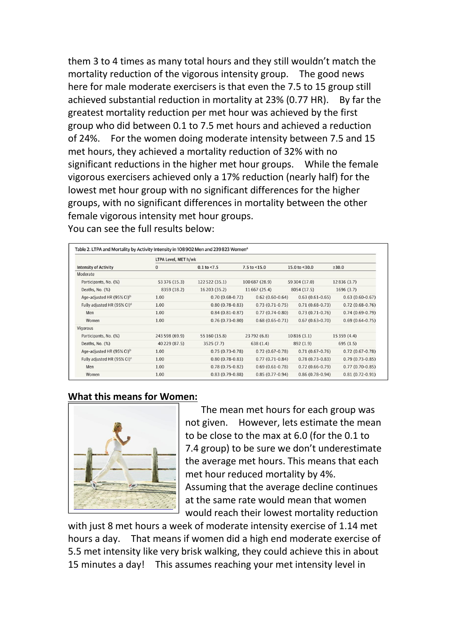them 3 to 4 times as many total hours and they still wouldn't match the mortality reduction of the vigorous intensity group. The good news here for male moderate exercisers is that even the 7.5 to 15 group still achieved substantial reduction in mortality at 23% (0.77 HR). By far the greatest mortality reduction per met hour was achieved by the first group who did between 0.1 to 7.5 met hours and achieved a reduction of 24%. For the women doing moderate intensity between 7.5 and 15 met hours, they achieved a mortality reduction of 32% with no significant reductions in the higher met hour groups. While the female vigorous exercisers achieved only a 17% reduction (nearly half) for the lowest met hour group with no significant differences for the higher groups, with no significant differences in mortality between the other female vigorous intensity met hour groups. You can see the full results below:

|                                         | LTPA Level, MET h/wk |                     |                     |                     |                     |
|-----------------------------------------|----------------------|---------------------|---------------------|---------------------|---------------------|
| <b>Intensity of Activity</b>            | $\mathbf{0}$         | $0.1$ to <7.5       | $7.5$ to $<$ 15.0   | 15.0 to $<$ 30.0    | ≥30.0               |
| Moderate                                |                      |                     |                     |                     |                     |
| Participants, No. (%)                   | 53 376 (15.3)        | 122 522 (35.1)      | 100 687 (28.9)      | 59 304 (17.0)       | 12836(3.7)          |
| Deaths, No. (%)                         | 8359 (18.2)          | 16 203 (35.2)       | 11 667 (25.4)       | 8054 (17.5)         | 1696(3.7)           |
| Age-adjusted HR (95% CI) <sup>b</sup>   | 1.00                 | $0.70(0.68-0.72)$   | $0.62(0.60-0.64)$   | $0.63(0.61-0.65)$   | $0.63(0.60-0.67)$   |
| Fully adjusted HR (95% CI) <sup>c</sup> | 1.00                 | $0.80(0.78-0.83)$   | $0.73(0.71-0.75)$   | $0.71(0.68-0.73)$   | $0.72(0.68-0.76)$   |
| Men                                     | 1.00                 | $0.84(0.81 - 0.87)$ | $0.77(0.74-0.80)$   | $0.73(0.71-0.76)$   | $0.74(0.69-0.79)$   |
| Women                                   | 1.00                 | $0.76(0.73-0.80)$   | $0.68(0.65-0.71)$   | $0.67(0.63 - 0.70)$ | $0.69(0.64-0.75)$   |
| Vigorous                                |                      |                     |                     |                     |                     |
| Participants, No. (%)                   | 243 598 (69.9)       | 55 160 (15.8)       | 23 792 (6.8)        | 10816(3.1)          | 15 359 (4.4)        |
| Deaths, No. (%)                         | 40 229 (87.5)        | 3525(7.7)           | 638(1.4)            | 892 (1.9)           | 695(1.5)            |
| Age-adjusted HR (95% CI) <sup>b</sup>   | 1.00                 | $0.75(0.73-0.78)$   | $0.72(0.67 - 0.78)$ | $0.71(0.67-0.76)$   | $0.72(0.67 - 0.78)$ |
| Fully adjusted HR (95% CI) <sup>c</sup> | 1.00                 | $0.80(0.78-0.83)$   | $0.77(0.71-0.84)$   | $0.78(0.73-0.83)$   | $0.79(0.73-0.85)$   |
| Men                                     | 1.00                 | $0.78(0.75-0.82)$   | $0.69(0.61-0.78)$   | $0.72(0.66-0.79)$   | $0.77(0.70-0.85)$   |
| Women                                   | 1.00                 | $0.83(0.79-0.88)$   | $0.85(0.77-0.94)$   | $0.86(0.78-0.94)$   | $0.81(0.72-0.91)$   |

#### **What this means for Women:**



The mean met hours for each group was not given. However, lets estimate the mean to be close to the max at 6.0 (for the 0.1 to 7.4 group) to be sure we don't underestimate the average met hours.This means that each met hour reduced mortality by 4%. Assuming that the average decline continues at the same rate would mean that women would reach their lowest mortality reduction

with just 8 met hours a week of moderate intensity exercise of 1.14 met hours a day. That means if women did a high end moderate exercise of 5.5 met intensity like very brisk walking, they could achieve this in about 15 minutes a day! This assumes reaching your met intensity level in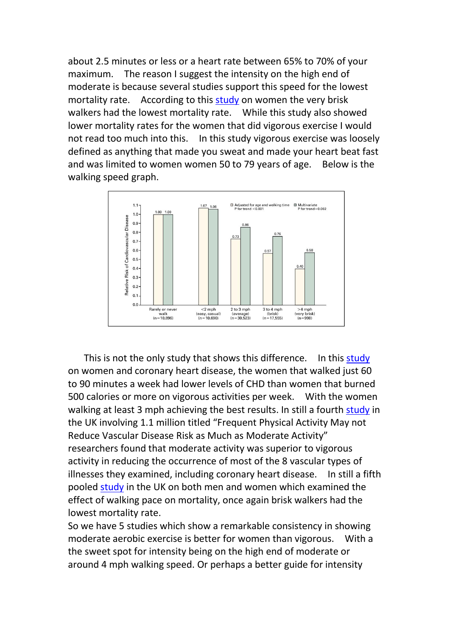about 2.5 minutes or less or a heart rate between 65% to 70% of your maximum. The reason I suggest the intensity on the high end of moderate is because several studies support this speed for the lowest mortality rate. According to this [study](http://sphweb.bumc.bu.edu/otlt/MPH-Modules/Weymouth/Manson-WALKING%20COMPARED%20WITH%20VIGOROUS%20EXERCISE.pdf) on women the very brisk walkers had the lowest mortality rate. While this study also showed lower mortality rates for the women that did vigorous exercise I would not read too much into this. In this study vigorous exercise was loosely defined as anything that made you sweat and made your heart beat fast and was limited to women women 50 to 79 years of age. Below is the walking speed graph.



This is not the only [study](https://pdfs.semanticscholar.org/100b/38c9d5359dc296d47f5569b960530abfe808.pdf?_ga=2.127806152.490647494.1554170355-269182911.1551126275) that shows this difference. In this study on women and coronary heart disease, the women that walked just 60 to 90 minutes a week had lower levels of CHD than women that burned 500 calories or more on vigorous activities per week. With the women walking at least 3 mph achieving the best results. In still a fourth [study](https://research-information.bristol.ac.uk/files/148602116/201045_1_art_file_1269854_nhwqpp_1_.pdf) in the UK involving 1.1 million titled "Frequent Physical Activity May not Reduce Vascular Disease Risk as Much as Moderate Activity" researchers found that moderate activity was superior to vigorous activity in reducing the occurrence of most of the 8 vascular types of illnesses they examined, including coronary heart disease. In still a fifth pooled [study](https://bjsm.bmj.com/content/bjsports/52/12/761.full.pdf) in the UK on both men and women which examined the effect of walking pace on mortality, once again brisk walkers had the lowest mortality rate.

So we have 5 studies which show a remarkable consistency in showing moderate aerobic exercise is better for women than vigorous. With a the sweet spot for intensity being on the high end of moderate or around 4 mph walking speed. Or perhaps a better guide for intensity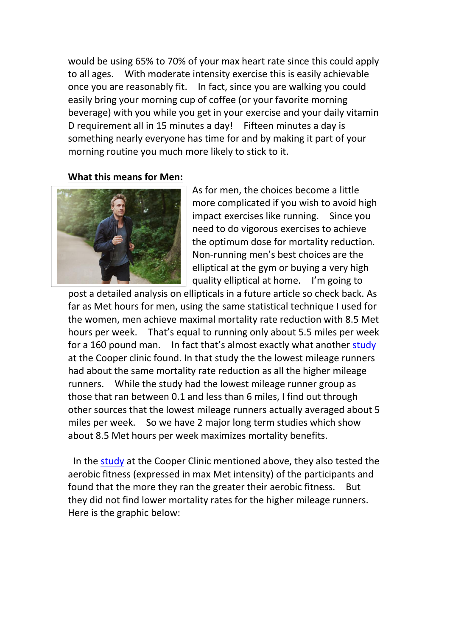would be using 65% to 70% of your max heart rate since this could apply to all ages. With moderate intensity exercise this is easily achievable once you are reasonably fit. In fact, since you are walking you could easily bring your morning cup of coffee (or your favorite morning beverage) with you while you get in your exercise and your daily vitamin D requirement all in 15 minutes a day! Fifteen minutes a day is something nearly everyone has time for and by making it part of your morning routine you much more likely to stick to it.

#### **What this means for Men:**



As for men, the choices become a little more complicated if you wish to avoid high impact exercises like running. Since you need to do vigorous exercises to achieve the optimum dose for mortality reduction. Non-running men's best choices are the elliptical at the gym or buying a very high quality elliptical at home. I'm going to

post a detailed analysis on ellipticals in a future article so check back. As far as Met hours for men, using the same statistical technique I used for the women, men achieve maximal mortality rate reduction with 8.5 Met hours per week. That's equal to running only about 5.5 miles per week for a 160 pound man. In fact that's almost exactly what another [study](http://www.onlinejacc.org/content/64/5/472) at the Cooper clinic found. In that study the the lowest mileage runners had about the same mortality rate reduction as all the higher mileage runners. While the study had the lowest mileage runner group as those that ran between 0.1 and less than 6 miles, I find out through other sources that the lowest mileage runners actually averaged about 5 miles per week. So we have 2 major long term studies which show about 8.5 Met hours per week maximizes mortality benefits.

In the [study](http://www.onlinejacc.org/content/64/5/472) at the Cooper Clinic mentioned above, they also tested the aerobic fitness (expressed in max Met intensity) of the participants and found that the more they ran the greater their aerobic fitness. But they did not find lower mortality rates for the higher mileage runners. Here is the graphic below: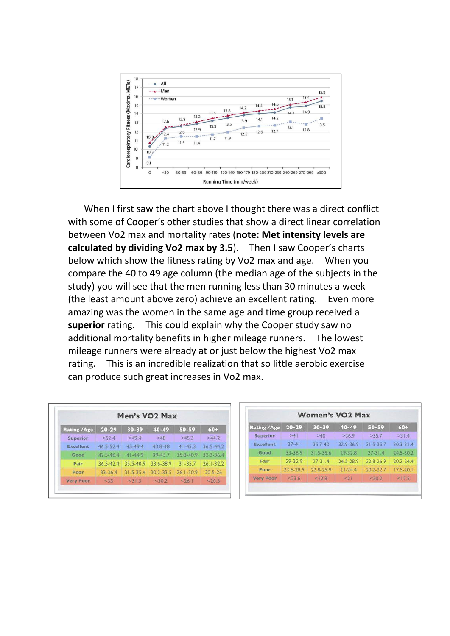

When I first saw the chart above I thought there was a direct conflict with some of Cooper's other studies that show a direct linear correlation between Vo2 max and mortality rates (**note: Met intensity levels are calculated by dividing Vo2 max by 3.5**). Then I saw Cooper's charts below which show the fitness rating by Vo2 max and age. When you compare the 40 to 49 age column (the median age of the subjects in the study) you will see that the men running less than 30 minutes a week (the least amount above zero) achieve an excellent rating. Even more amazing was the women in the same age and time group received a **superior** rating. This could explain why the Cooper study saw no additional mortality benefits in higher mileage runners. The lowest mileage runners were already at or just below the highest Vo2 max rating. This is an incredible realization that so little aerobic exercise can produce such great increases in Vo2 max.

|                    |               | Men's VO <sub>2</sub> Max |           |               |               |
|--------------------|---------------|---------------------------|-----------|---------------|---------------|
| <b>Rating /Age</b> | $20 - 29$     | $30 - 39$                 | 40-49     | 50-59         | $60+$         |
| Superior           | >52.4         | >49.4                     | >48       | >45.3         | >44.2         |
| <b>Excellent</b>   | $46.5 - 52.4$ | 45-49.4                   | 43.8-48   | $41 - 45.3$   | 36.5-44.2     |
| Good               | $42.5 - 46.4$ | $41 - 44.9$               | 39-43.7   | 35.8-40.9     | 32.3-36.4     |
| Fair               | $36.5 - 42.4$ | 35.5-40.9                 | 33.6-38.9 | $31 - 35.7$   | $26.1 - 32.2$ |
| Poor               | $33 - 36.4$   | $315 - 354$               | 30 2-33 5 | $26.1 - 30.9$ | $20.5 - 26$   |
| <b>Very Poor</b>   | < 33          | $<$ 315                   | < 30.2    | < 26.1        | < 20.5        |

|                     |           |               | <b>Women's VO2 Max</b> |             |               |
|---------------------|-----------|---------------|------------------------|-------------|---------------|
| <b>Rating / Age</b> | $20 - 29$ | $30 - 39$     | $40 - 49$              | 50-59       | $60+$         |
| Superior            | >41       | >40           | >36.9                  | >35.7       | >31.4         |
| Excellent           | $37 - 41$ | 35.7-40       | 32.9-36.9              | 31.5-35.7   | $30.3 - 31.4$ |
| Good                | 33-36.9   | $31.5 - 35.6$ | $29 - 32.8$            | $27 - 31.4$ | 24.5-30.2     |
| Fair                | 29-32.9   | $27 - 314$    | 245-289                | 228-26.9    | $202 - 244$   |
| Poor                | 23.6-28.9 | 22.8-26.9     | $21 - 24.4$            | 20.2-22.7   | $17.5 - 20.1$ |
| <b>Very Poor</b>    | < 23.6    | < 22.8        | < 21                   | < 20.2      | <17.5         |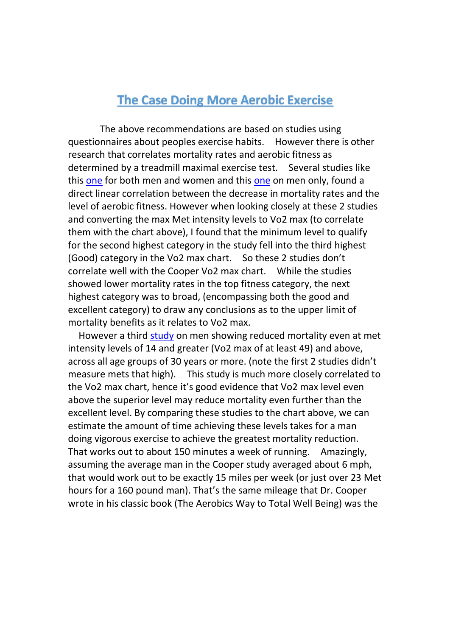# **The Case Doing More Aerobic Exercise**

The above recommendations are based on studies using questionnaires about peoples exercise habits. However there is other research that correlates mortality rates and aerobic fitness as determined by a treadmill maximal exercise test. Several studies like this [one](https://www.ahajournals.org/doi/full/10.1161/circulationaha.114.009666) for both men and women and this one on men only, found a direct linear correlation between the decrease in mortality rates and the level of aerobic fitness. However when looking closely at these 2 studies and converting the max Met intensity levels to Vo2 max (to correlate them with the chart above), I found that the minimum level to qualify for the second highest category in the study fell into the third highest (Good) category in the Vo2 max chart. So these 2 studies don't correlate well with the Cooper Vo2 max chart. While the studies showed lower mortality rates in the top fitness category, the next highest category was to broad, (encompassing both the good and excellent category) to draw any conclusions as to the upper limit of mortality benefits as it relates to Vo2 max.

However a third [study](https://www.sciencedirect.com/science/article/pii/S0735109714072489) on men showing reduced mortality even at met intensity levels of 14 and greater (Vo2 max of at least 49) and above, across all age groups of 30 years or more. (note the first 2 studies didn't measure mets that high). This study is much more closely correlated to the Vo2 max chart, hence it's good evidence that Vo2 max level even above the superior level may reduce mortality even further than the excellent level. By comparing these studies to the chart above, we can estimate the amount of time achieving these levels takes for a man doing vigorous exercise to achieve the greatest mortality reduction. That works out to about 150 minutes a week of running. Amazingly, assuming the average man in the Cooper study averaged about 6 mph, that would work out to be exactly 15 miles per week (or just over 23 Met hours for a 160 pound man). That's the same mileage that Dr. Cooper wrote in his classic book (The Aerobics Way to Total Well Being) was the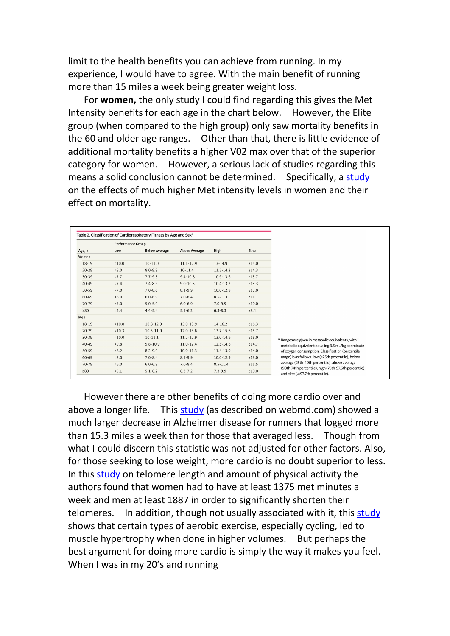limit to the health benefits you can achieve from running. In my experience, I would have to agree. With the main benefit of running more than 15 miles a week being greater weight loss.

For **women,** the only study I could find regarding this gives the Met Intensity benefits for each age in the chart below. However, the Elite group (when compared to the high group) only saw mortality benefits in the 60 and older age ranges. Other than that, there is little evidence of additional mortality benefits a higher V02 max over that of the superior category for women. However, a serious lack of studies regarding this means a solid conclusion cannot be determined. Specifically, a [study](https://jamanetwork.com/journals/jamanetworkopen/fullarticle/2707428) on the effects of much higher Met intensity levels in women and their effect on mortality.

|           | <b>Performance Group</b> |                      |                      |               |             |                                                                                                  |
|-----------|--------------------------|----------------------|----------------------|---------------|-------------|--------------------------------------------------------------------------------------------------|
| Age, y    | Low                      | <b>Below Average</b> | <b>Above Average</b> | High          | Elite       |                                                                                                  |
| Women     |                          |                      |                      |               |             |                                                                                                  |
| $18-19$   | < 10.0                   | $10-11.0$            | $11.1 - 12.9$        | 13-14.9       | ≥15.0       |                                                                                                  |
| $20 - 29$ | < 8.0                    | $8.0 - 9.9$          | $10 - 11.4$          | $11.5 - 14.2$ | ≥14.3       |                                                                                                  |
| 30-39     | <7.7                     | $7.7 - 9.3$          | $9.4 - 10.8$         | 10.9-13.6     | ≥13.7       |                                                                                                  |
| $40 - 49$ | < 7.4                    | $7.4 - 8.9$          | $9.0 - 10.3$         | $10.4 - 13.2$ | $\geq 13.3$ |                                                                                                  |
| $50 - 59$ | < 7.0                    | $7.0 - 8.0$          | $8.1 - 9.9$          | $10.0 - 12.9$ | ≥13.0       |                                                                                                  |
| 60-69     | <6.0                     | $6.0 - 6.9$          | $7.0 - 8.4$          | $8.5 - 11.0$  | $\geq 11.1$ |                                                                                                  |
| 70-79     | 5.0                      | $5.0 - 5.9$          | $6.0 - 6.9$          | $7.0 - 9.9$   | ≥10.0       |                                                                                                  |
| $\geq 80$ | <4.4                     | $4.4 - 5.4$          | $5.5 - 6.2$          | $6.3 - 8.3$   | $\geq 8.4$  |                                                                                                  |
| Men       |                          |                      |                      |               |             |                                                                                                  |
| $18-19$   | < 10.8                   | $10.8 - 12.9$        | 13.0-13.9            | $14 - 16.2$   | $\geq 16.3$ |                                                                                                  |
| $20 - 29$ | < 10.3                   | $10.3 - 11.9$        | 12.0-13.6            | 13.7-15.6     | $\geq 15.7$ |                                                                                                  |
| $30 - 39$ | < 10.0                   | $10-11.1$            | $11.2 - 12.9$        | 13.0-14.9     | ≥15.0       | <sup>a</sup> Ranges are given in metabolic equivalents, with 1                                   |
| $40 - 49$ | < 9.8                    | $9.8 - 10.9$         | $11.0 - 12.4$        | $12.5 - 14.6$ | $\geq 14.7$ | metabolic equivalent equaling 3.5 mL/kg per minute                                               |
| 50-59     | < 8.2                    | $8.2 - 9.9$          | $10.0 - 11.3$        | 11.4-13.9     | ≥14.0       | of oxygen consumption. Classification (percentile                                                |
| 60-69     | < 7.0                    | $7.0 - 8.4$          | $8.5 - 9.9$          | $10.0 - 12.9$ | ≥13.0       | range) is as follows: low (<25th percentile), below                                              |
| 70-79     | 5.0                      | $6.0 - 6.9$          | $7.0 - 8.4$          | $8.5 - 11.4$  | ≥11.5       | average (25th-49th percentile), above average                                                    |
| $\geq 80$ | 5.1                      | $5.1 - 6.2$          | $6.3 - 7.2$          | $7.3 - 9.9$   | ≥10.0       | (50th-74th percentile), high (75th-97.6th percentile),<br>and elite $(\geq 97.7$ th percentile). |

However there are other benefits of doing more cardio over and above a longer life. This [study](https://www.webmd.com/alzheimers/news/20141203/study-links-running-to-lower-alzheimers-death-risk) (as described on webmd.com) showed a much larger decrease in Alzheimer disease for runners that logged more than 15.3 miles a week than for those that averaged less. Though from what I could discern this statistic was not adjusted for other factors. Also, for those seeking to lose weight, more cardio is no doubt superior to less. In this [study](http://pilarmartinescudero.es/MarzoAbrilMayoJunio2017/Physical%20activity%20and%20telomere%20lenght%20in%20US%20men%20and%20women.pdf) on telomere length and amount of physical activity the authors found that women had to have at least 1375 met minutes a week and men at least 1887 in order to significantly shorten their telomeres. In addition, though not usually associated with it, this [study](https://pdfs.semanticscholar.org/ccc4/4cbcb06d2ad7f415a8eff586ff9deb282d8f.pdf) shows that certain types of aerobic exercise, especially cycling, led to muscle hypertrophy when done in higher volumes. But perhaps the best argument for doing more cardio is simply the way it makes you feel. When I was in my 20's and running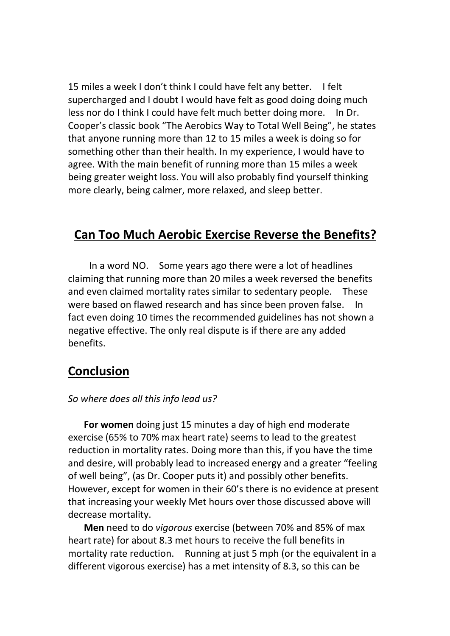15 miles a week I don't think I could have felt any better. I felt supercharged and I doubt I would have felt as good doing doing much less nor do I think I could have felt much better doing more. In Dr. Cooper's classic book "The Aerobics Way to Total Well Being", he states that anyone running more than 12 to 15 miles a week is doing so for something other than their health. In my experience, I would have to agree. With the main benefit of running more than 15 miles a week being greater weight loss. You will also probably find yourself thinking more clearly, being calmer, more relaxed, and sleep better.

# **Can Too Much Aerobic Exercise Reverse the Benefits?**

In a word NO. Some years ago there were a lot of headlines claiming that running more than 20 miles a week reversed the benefits and even claimed mortality rates similar to sedentary people. These were based on flawed research and has since been proven false. In fact even doing 10 times the recommended guidelines has not shown a negative effective. The only real dispute is if there are any added benefits.

## **Conclusion**

#### *So where does all this info lead us?*

**For women** doing just 15 minutes a day of high end moderate exercise (65% to 70% max heart rate) seems to lead to the greatest reduction in mortality rates. Doing more than this, if you have the time and desire, will probably lead to increased energy and a greater "feeling of well being", (as Dr. Cooper puts it) and possibly other benefits. However, except for women in their 60's there is no evidence at present that increasing your weekly Met hours over those discussed above will decrease mortality.

**Men** need to do *vigorous* exercise (between 70% and 85% of max heart rate) for about 8.3 met hours to receive the full benefits in mortality rate reduction. Running at just 5 mph (or the equivalent in a different vigorous exercise) has a met intensity of 8.3, so this can be